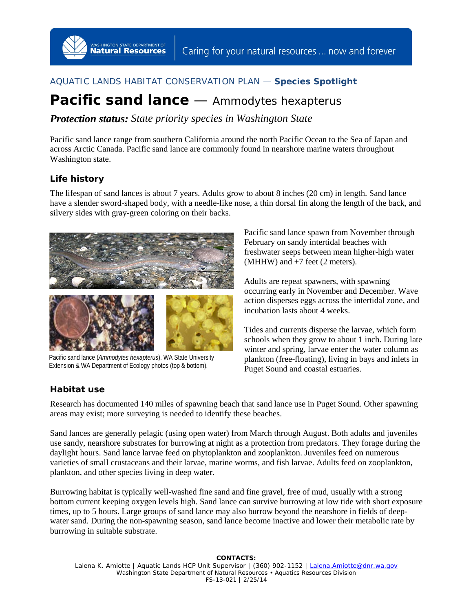# AQUATIC LANDS HABITAT CONSERVATION PLAN — **Species Spotlight**

# **Pacific sand lance** — *Ammodytes hexapterus*

*Protection status: State priority species in Washington State*

Pacific sand lance range from southern California around the north Pacific Ocean to the Sea of Japan and across Arctic Canada. Pacific sand lance are commonly found in nearshore marine waters throughout Washington state.

## **Life history**

The lifespan of sand lances is about 7 years. Adults grow to about 8 inches (20 cm) in length. Sand lance have a slender sword-shaped body, with a needle-like nose, a thin dorsal fin along the length of the back, and silvery sides with gray-green coloring on their backs.



WASHINGTON STATE DEPARTMENT OF

Pacific sand lance (*Ammodytes hexapterus*). WA State University Extension & WA Department of Ecology photos (top & bottom).

Pacific sand lance spawn from November through February on sandy intertidal beaches with freshwater seeps between mean higher-high water (MHHW) and +7 feet (2 meters).

Adults are repeat spawners, with spawning occurring early in November and December. Wave action disperses eggs across the intertidal zone, and incubation lasts about 4 weeks.

Tides and currents disperse the larvae, which form schools when they grow to about 1 inch. During late winter and spring, larvae enter the water column as plankton (free-floating), living in bays and inlets in Puget Sound and coastal estuaries.

### **Habitat use**

Research has documented 140 miles of spawning beach that sand lance use in Puget Sound. Other spawning areas may exist; more surveying is needed to identify these beaches.

Sand lances are generally pelagic (using open water) from March through August. Both adults and juveniles use sandy, nearshore substrates for burrowing at night as a protection from predators. They forage during the daylight hours. Sand lance larvae feed on phytoplankton and zooplankton. Juveniles feed on numerous varieties of small crustaceans and their larvae, marine worms, and fish larvae. Adults feed on zooplankton, plankton, and other species living in deep water.

Burrowing habitat is typically well-washed fine sand and fine gravel, free of mud, usually with a strong bottom current keeping oxygen levels high. Sand lance can survive burrowing at low tide with short exposure times, up to 5 hours. Large groups of sand lance may also burrow beyond the nearshore in fields of deepwater sand. During the non-spawning season, sand lance become inactive and lower their metabolic rate by burrowing in suitable substrate.

**CONTACTS:**  Lalena K. Amiotte | Aquatic Lands HCP Unit Supervisor | (360) 902-1152 | [Lalena.Amiotte@dnr.wa.gov](mailto:Lalena.Amiotte@dnr.wa.gov) Washington State Department of Natural Resources • Aquatics Resources Division FS-13-021 | 2/25/14